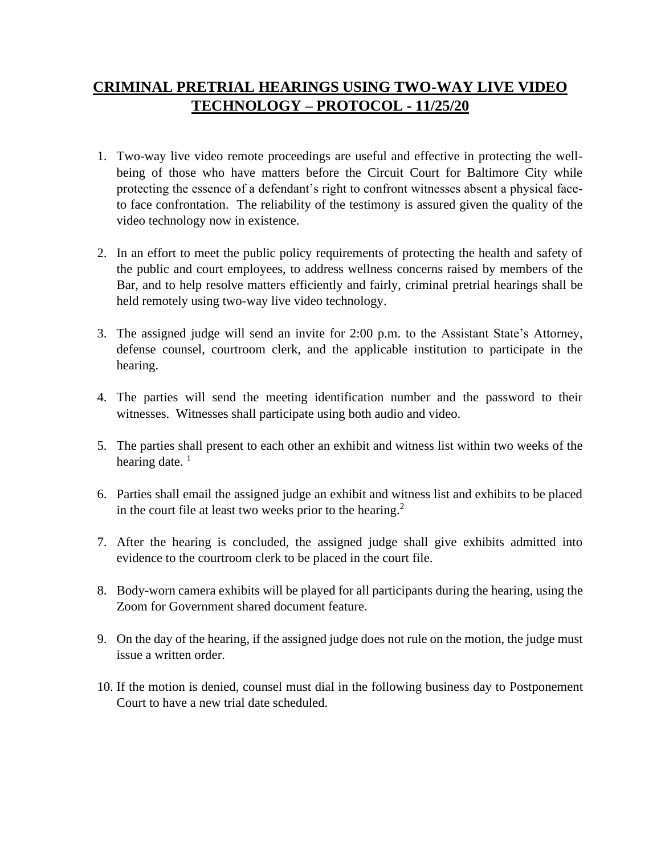## **CRIMINAL PRETRIAL HEARINGS USING TWO-WAY LIVE VIDEO TECHNOLOGY – PROTOCOL - 11/25/20**

- 1. Two-way live video remote proceedings are useful and effective in protecting the wellbeing of those who have matters before the Circuit Court for Baltimore City while protecting the essence of a defendant's right to confront witnesses absent a physical faceto face confrontation. The reliability of the testimony is assured given the quality of the video technology now in existence.
- 2. In an effort to meet the public policy requirements of protecting the health and safety of the public and court employees, to address wellness concerns raised by members of the Bar, and to help resolve matters efficiently and fairly, criminal pretrial hearings shall be held remotely using two-way live video technology.
- 3. The assigned judge will send an invite for 2:00 p.m. to the Assistant State's Attorney, defense counsel, courtroom clerk, and the applicable institution to participate in the hearing.
- 4. The parties will send the meeting identification number and the password to their witnesses. Witnesses shall participate using both audio and video.
- 5. The parties shall present to each other an exhibit and witness list within two weeks of the hearing date.  $<sup>1</sup>$ </sup>
- 6. Parties shall email the assigned judge an exhibit and witness list and exhibits to be placed in the court file at least two weeks prior to the hearing.<sup>2</sup>
- 7. After the hearing is concluded, the assigned judge shall give exhibits admitted into evidence to the courtroom clerk to be placed in the court file.
- 8. Body-worn camera exhibits will be played for all participants during the hearing, using the Zoom for Government shared document feature.
- 9. On the day of the hearing, if the assigned judge does not rule on the motion, the judge must issue a written order.
- 10. If the motion is denied, counsel must dial in the following business day to Postponement Court to have a new trial date scheduled.